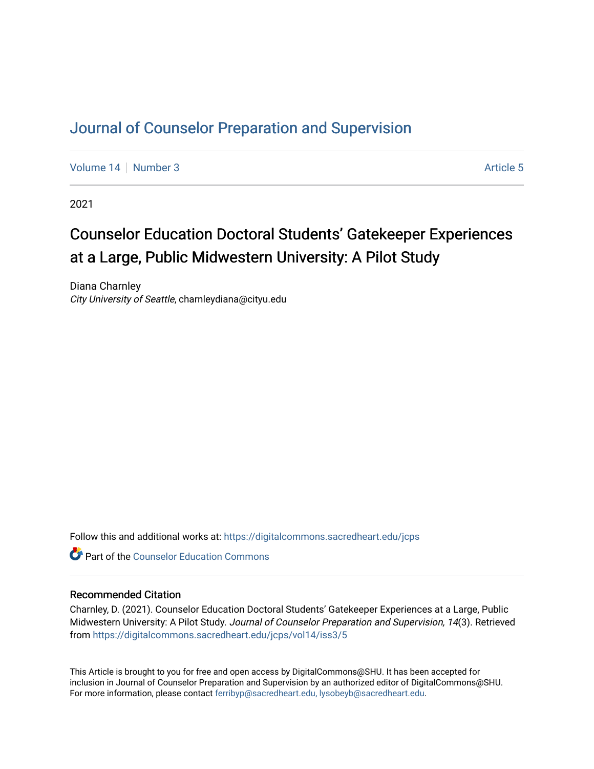# [Journal of Counselor Preparation and Supervision](https://digitalcommons.sacredheart.edu/jcps)

[Volume 14](https://digitalcommons.sacredheart.edu/jcps/vol14) | [Number 3](https://digitalcommons.sacredheart.edu/jcps/vol14/iss3) Article 5

2021

# Counselor Education Doctoral Students' Gatekeeper Experiences at a Large, Public Midwestern University: A Pilot Study

Diana Charnley City University of Seattle, charnleydiana@cityu.edu

Follow this and additional works at: [https://digitalcommons.sacredheart.edu/jcps](https://digitalcommons.sacredheart.edu/jcps?utm_source=digitalcommons.sacredheart.edu%2Fjcps%2Fvol14%2Fiss3%2F5&utm_medium=PDF&utm_campaign=PDFCoverPages) 

**C** Part of the Counselor Education Commons

#### Recommended Citation

Charnley, D. (2021). Counselor Education Doctoral Students' Gatekeeper Experiences at a Large, Public Midwestern University: A Pilot Study. Journal of Counselor Preparation and Supervision, 14(3). Retrieved from [https://digitalcommons.sacredheart.edu/jcps/vol14/iss3/5](https://digitalcommons.sacredheart.edu/jcps/vol14/iss3/5?utm_source=digitalcommons.sacredheart.edu%2Fjcps%2Fvol14%2Fiss3%2F5&utm_medium=PDF&utm_campaign=PDFCoverPages) 

This Article is brought to you for free and open access by DigitalCommons@SHU. It has been accepted for inclusion in Journal of Counselor Preparation and Supervision by an authorized editor of DigitalCommons@SHU. For more information, please contact [ferribyp@sacredheart.edu, lysobeyb@sacredheart.edu.](mailto:ferribyp@sacredheart.edu,%20lysobeyb@sacredheart.edu)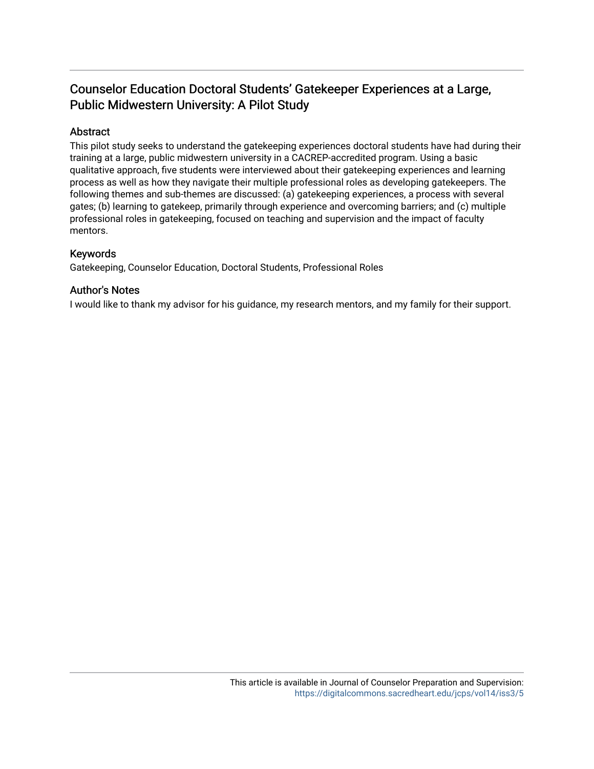# Counselor Education Doctoral Students' Gatek eeper Experiences at a Large, Public Midwestern University: A Pilot Study

# Abstract

This pilot study seeks to understand the gatekeeping experiences doctoral students have had during their training at a large, public midwestern university in a CACREP-accredited program. Using a basic qualitative approach, five students were interviewed about their gatekeeping experiences and learning process as well as how they navigate their multiple professional roles as developing gatekeepers. The following themes and sub-themes are discussed: (a) gatekeeping experiences, a process with several gates; (b) learning to gatekeep, primarily through experience and overcoming barriers; and (c) multiple professional roles in gatekeeping, focused on teaching and supervision and the impact of faculty mentors.

## Keywords

Gatekeeping, Counselor Education, Doctoral Students, Professional Roles

### Author's Notes

I would like to thank my advisor for his guidance, my research mentors, and my family for their support.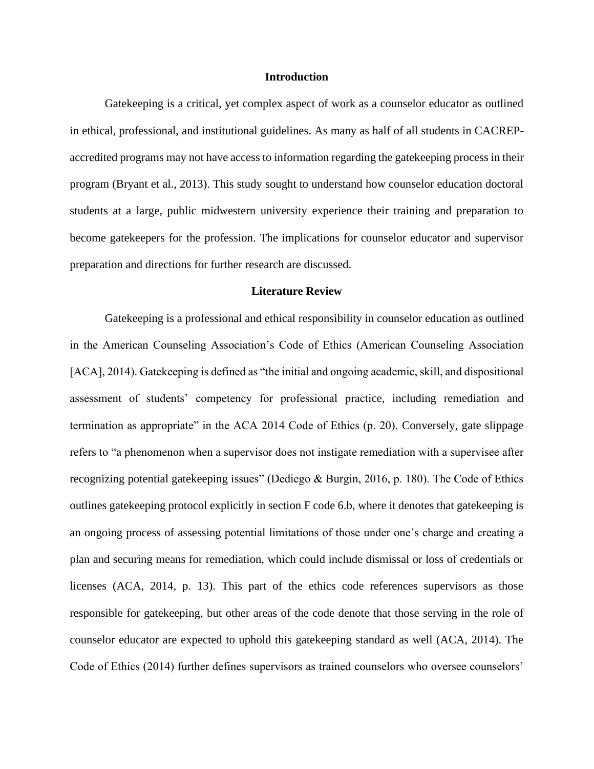#### **Introduction**

Gatekeeping is a critical, yet complex aspect of work as a counselor educator as outlined in ethical, professional, and institutional guidelines. As many as half of all students in CACREPaccredited programs may not have access to information regarding the gatekeeping process in their program (Bryant et al., 2013). This study sought to understand how counselor education doctoral students at a large, public midwestern university experience their training and preparation to become gatekeepers for the profession. The implications for counselor educator and supervisor preparation and directions for further research are discussed.

#### **Literature Review**

Gatekeeping is a professional and ethical responsibility in counselor education as outlined in the American Counseling Association's Code of Ethics (American Counseling Association [ACA], 2014). Gatekeeping is defined as "the initial and ongoing academic, skill, and dispositional assessment of students' competency for professional practice, including remediation and termination as appropriate" in the ACA 2014 Code of Ethics (p. 20). Conversely, gate slippage refers to "a phenomenon when a supervisor does not instigate remediation with a supervisee after recognizing potential gatekeeping issues" (Dediego & Burgin, 2016, p. 180). The Code of Ethics outlines gatekeeping protocol explicitly in section F code 6.b, where it denotes that gatekeeping is an ongoing process of assessing potential limitations of those under one's charge and creating a plan and securing means for remediation, which could include dismissal or loss of credentials or licenses (ACA, 2014, p. 13). This part of the ethics code references supervisors as those responsible for gatekeeping, but other areas of the code denote that those serving in the role of counselor educator are expected to uphold this gatekeeping standard as well (ACA, 2014). The Code of Ethics (2014) further defines supervisors as trained counselors who oversee counselors'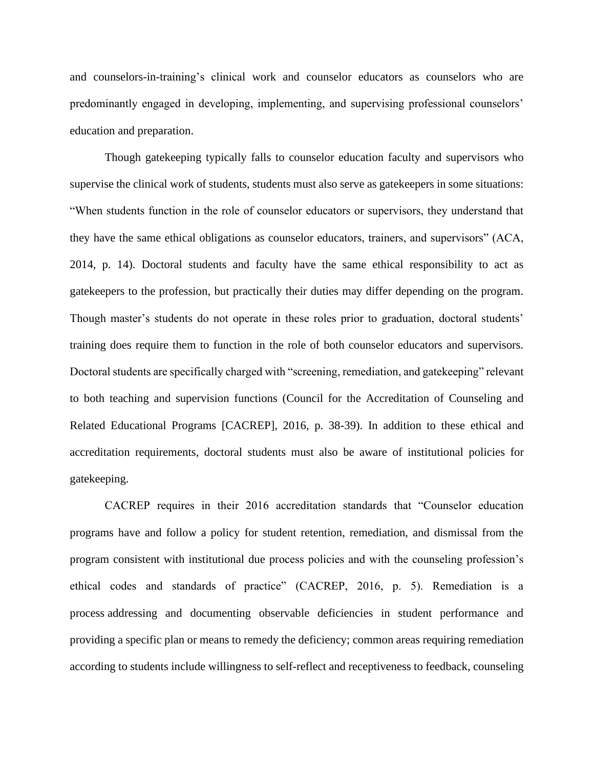and counselors-in-training's clinical work and counselor educators as counselors who are predominantly engaged in developing, implementing, and supervising professional counselors' education and preparation.

Though gatekeeping typically falls to counselor education faculty and supervisors who supervise the clinical work of students, students must also serve as gatekeepers in some situations: "When students function in the role of counselor educators or supervisors, they understand that they have the same ethical obligations as counselor educators, trainers, and supervisors" (ACA, 2014, p. 14). Doctoral students and faculty have the same ethical responsibility to act as gatekeepers to the profession, but practically their duties may differ depending on the program. Though master's students do not operate in these roles prior to graduation, doctoral students' training does require them to function in the role of both counselor educators and supervisors. Doctoral students are specifically charged with "screening, remediation, and gatekeeping" relevant to both teaching and supervision functions (Council for the Accreditation of Counseling and Related Educational Programs [CACREP], 2016, p. 38-39). In addition to these ethical and accreditation requirements, doctoral students must also be aware of institutional policies for gatekeeping.

CACREP requires in their 2016 accreditation standards that "Counselor education programs have and follow a policy for student retention, remediation, and dismissal from the program consistent with institutional due process policies and with the counseling profession's ethical codes and standards of practice" (CACREP, 2016, p. 5). Remediation is a process addressing and documenting observable deficiencies in student performance and providing a specific plan or means to remedy the deficiency; common areas requiring remediation according to students include willingness to self-reflect and receptiveness to feedback, counseling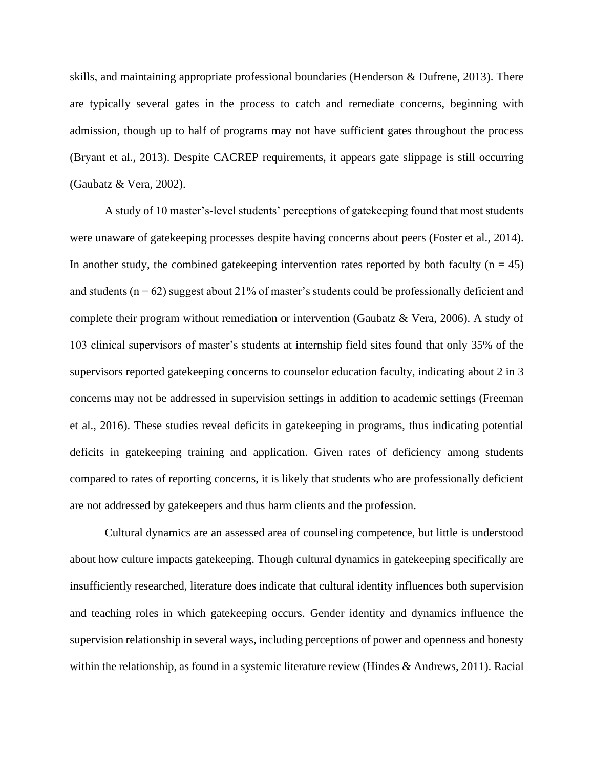skills, and maintaining appropriate professional boundaries (Henderson & Dufrene, 2013). There are typically several gates in the process to catch and remediate concerns, beginning with admission, though up to half of programs may not have sufficient gates throughout the process (Bryant et al., 2013). Despite CACREP requirements, it appears gate slippage is still occurring (Gaubatz & Vera, 2002).

A study of 10 master's-level students' perceptions of gatekeeping found that most students were unaware of gatekeeping processes despite having concerns about peers (Foster et al., 2014). In another study, the combined gate keeping intervention rates reported by both faculty ( $n = 45$ ) and students ( $n = 62$ ) suggest about 21% of master's students could be professionally deficient and complete their program without remediation or intervention (Gaubatz & Vera, 2006). A study of 103 clinical supervisors of master's students at internship field sites found that only 35% of the supervisors reported gatekeeping concerns to counselor education faculty, indicating about 2 in 3 concerns may not be addressed in supervision settings in addition to academic settings (Freeman et al., 2016). These studies reveal deficits in gatekeeping in programs, thus indicating potential deficits in gatekeeping training and application. Given rates of deficiency among students compared to rates of reporting concerns, it is likely that students who are professionally deficient are not addressed by gatekeepers and thus harm clients and the profession.

Cultural dynamics are an assessed area of counseling competence, but little is understood about how culture impacts gatekeeping. Though cultural dynamics in gatekeeping specifically are insufficiently researched, literature does indicate that cultural identity influences both supervision and teaching roles in which gatekeeping occurs. Gender identity and dynamics influence the supervision relationship in several ways, including perceptions of power and openness and honesty within the relationship, as found in a systemic literature review (Hindes & Andrews, 2011). Racial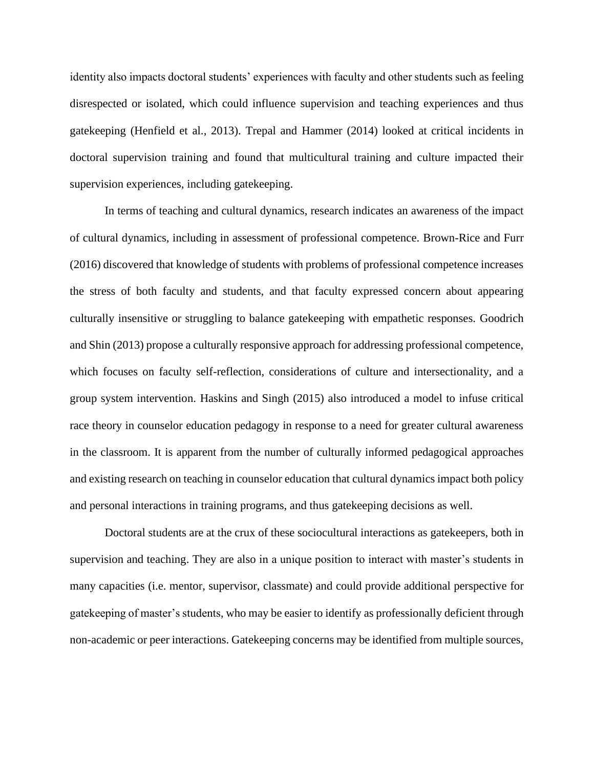identity also impacts doctoral students' experiences with faculty and other students such as feeling disrespected or isolated, which could influence supervision and teaching experiences and thus gatekeeping (Henfield et al., 2013). Trepal and Hammer (2014) looked at critical incidents in doctoral supervision training and found that multicultural training and culture impacted their supervision experiences, including gatekeeping.

In terms of teaching and cultural dynamics, research indicates an awareness of the impact of cultural dynamics, including in assessment of professional competence. Brown-Rice and Furr (2016) discovered that knowledge of students with problems of professional competence increases the stress of both faculty and students, and that faculty expressed concern about appearing culturally insensitive or struggling to balance gatekeeping with empathetic responses. Goodrich and Shin (2013) propose a culturally responsive approach for addressing professional competence, which focuses on faculty self-reflection, considerations of culture and intersectionality, and a group system intervention. Haskins and Singh (2015) also introduced a model to infuse critical race theory in counselor education pedagogy in response to a need for greater cultural awareness in the classroom. It is apparent from the number of culturally informed pedagogical approaches and existing research on teaching in counselor education that cultural dynamics impact both policy and personal interactions in training programs, and thus gatekeeping decisions as well.

Doctoral students are at the crux of these sociocultural interactions as gatekeepers, both in supervision and teaching. They are also in a unique position to interact with master's students in many capacities (i.e. mentor, supervisor, classmate) and could provide additional perspective for gatekeeping of master's students, who may be easier to identify as professionally deficient through non-academic or peer interactions. Gatekeeping concerns may be identified from multiple sources,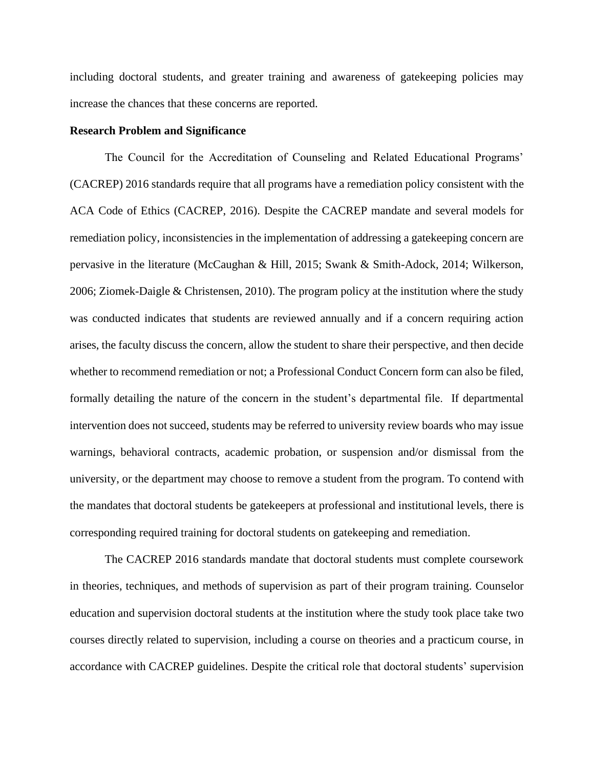including doctoral students, and greater training and awareness of gatekeeping policies may increase the chances that these concerns are reported.

#### **Research Problem and Significance**

The Council for the Accreditation of Counseling and Related Educational Programs' (CACREP) 2016 standards require that all programs have a remediation policy consistent with the ACA Code of Ethics (CACREP, 2016). Despite the CACREP mandate and several models for remediation policy, inconsistencies in the implementation of addressing a gatekeeping concern are pervasive in the literature (McCaughan & Hill, 2015; Swank & Smith-Adock, 2014; Wilkerson, 2006; Ziomek-Daigle & Christensen, 2010). The program policy at the institution where the study was conducted indicates that students are reviewed annually and if a concern requiring action arises, the faculty discuss the concern, allow the student to share their perspective, and then decide whether to recommend remediation or not; a Professional Conduct Concern form can also be filed, formally detailing the nature of the concern in the student's departmental file. If departmental intervention does not succeed, students may be referred to university review boards who may issue warnings, behavioral contracts, academic probation, or suspension and/or dismissal from the university, or the department may choose to remove a student from the program. To contend with the mandates that doctoral students be gatekeepers at professional and institutional levels, there is corresponding required training for doctoral students on gatekeeping and remediation.

The CACREP 2016 standards mandate that doctoral students must complete coursework in theories, techniques, and methods of supervision as part of their program training. Counselor education and supervision doctoral students at the institution where the study took place take two courses directly related to supervision, including a course on theories and a practicum course, in accordance with CACREP guidelines. Despite the critical role that doctoral students' supervision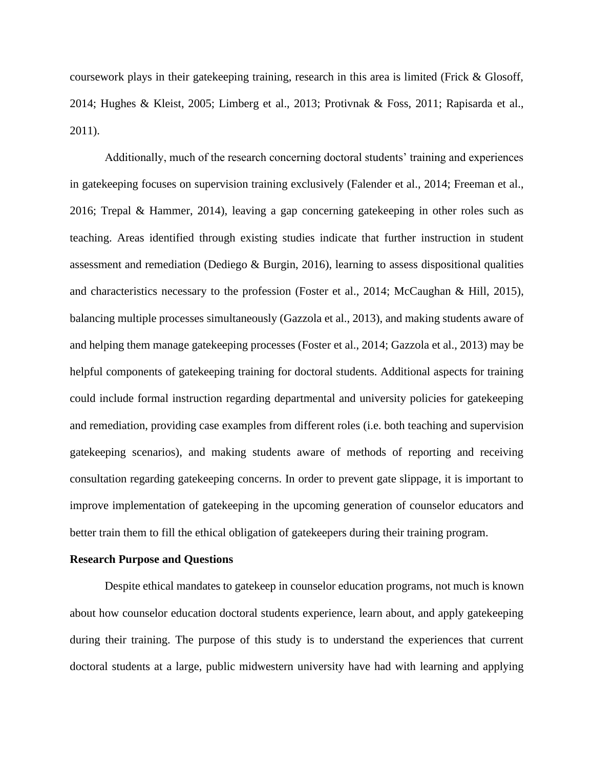coursework plays in their gatekeeping training, research in this area is limited (Frick & Glosoff, 2014; Hughes & Kleist, 2005; Limberg et al., 2013; Protivnak & Foss, 2011; Rapisarda et al., 2011).

Additionally, much of the research concerning doctoral students' training and experiences in gatekeeping focuses on supervision training exclusively (Falender et al., 2014; Freeman et al., 2016; Trepal & Hammer, 2014), leaving a gap concerning gatekeeping in other roles such as teaching. Areas identified through existing studies indicate that further instruction in student assessment and remediation (Dediego & Burgin, 2016), learning to assess dispositional qualities and characteristics necessary to the profession (Foster et al., 2014; McCaughan & Hill, 2015), balancing multiple processes simultaneously (Gazzola et al., 2013), and making students aware of and helping them manage gatekeeping processes (Foster et al., 2014; Gazzola et al., 2013) may be helpful components of gatekeeping training for doctoral students. Additional aspects for training could include formal instruction regarding departmental and university policies for gatekeeping and remediation, providing case examples from different roles (i.e. both teaching and supervision gatekeeping scenarios), and making students aware of methods of reporting and receiving consultation regarding gatekeeping concerns. In order to prevent gate slippage, it is important to improve implementation of gatekeeping in the upcoming generation of counselor educators and better train them to fill the ethical obligation of gatekeepers during their training program.

#### **Research Purpose and Questions**

Despite ethical mandates to gatekeep in counselor education programs, not much is known about how counselor education doctoral students experience, learn about, and apply gatekeeping during their training. The purpose of this study is to understand the experiences that current doctoral students at a large, public midwestern university have had with learning and applying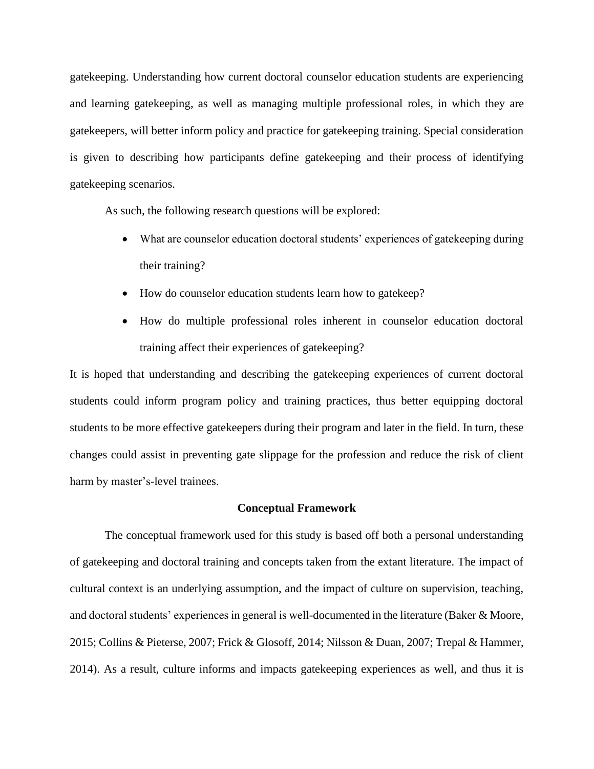gatekeeping. Understanding how current doctoral counselor education students are experiencing and learning gatekeeping, as well as managing multiple professional roles, in which they are gatekeepers, will better inform policy and practice for gatekeeping training. Special consideration is given to describing how participants define gatekeeping and their process of identifying gatekeeping scenarios.

As such, the following research questions will be explored:

- What are counselor education doctoral students' experiences of gatekeeping during their training?
- How do counselor education students learn how to gatekeep?
- How do multiple professional roles inherent in counselor education doctoral training affect their experiences of gatekeeping?

It is hoped that understanding and describing the gatekeeping experiences of current doctoral students could inform program policy and training practices, thus better equipping doctoral students to be more effective gatekeepers during their program and later in the field. In turn, these changes could assist in preventing gate slippage for the profession and reduce the risk of client harm by master's-level trainees.

#### **Conceptual Framework**

The conceptual framework used for this study is based off both a personal understanding of gatekeeping and doctoral training and concepts taken from the extant literature. The impact of cultural context is an underlying assumption, and the impact of culture on supervision, teaching, and doctoral students' experiences in general is well-documented in the literature (Baker & Moore, 2015; Collins & Pieterse, 2007; Frick & Glosoff, 2014; Nilsson & Duan, 2007; Trepal & Hammer, 2014). As a result, culture informs and impacts gatekeeping experiences as well, and thus it is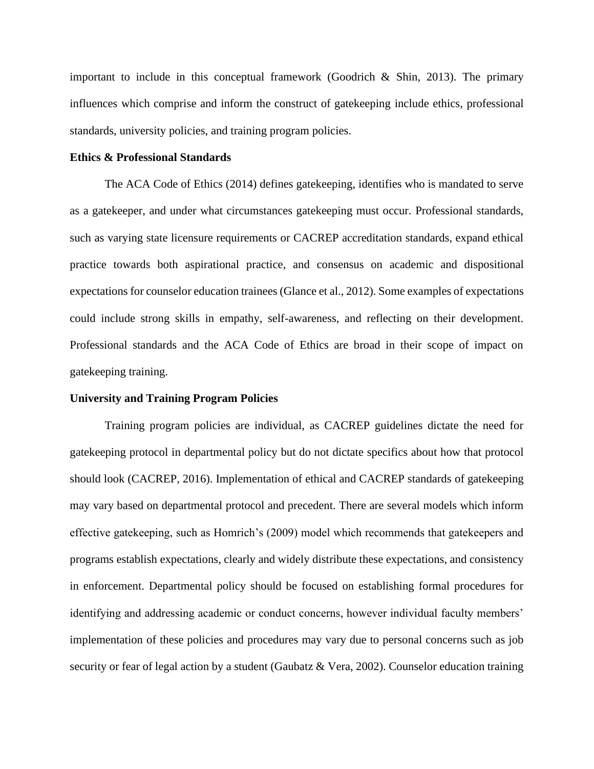important to include in this conceptual framework (Goodrich & Shin, 2013). The primary influences which comprise and inform the construct of gatekeeping include ethics, professional standards, university policies, and training program policies.

#### **Ethics & Professional Standards**

The ACA Code of Ethics (2014) defines gatekeeping, identifies who is mandated to serve as a gatekeeper, and under what circumstances gatekeeping must occur. Professional standards, such as varying state licensure requirements or CACREP accreditation standards, expand ethical practice towards both aspirational practice, and consensus on academic and dispositional expectations for counselor education trainees (Glance et al., 2012). Some examples of expectations could include strong skills in empathy, self-awareness, and reflecting on their development. Professional standards and the ACA Code of Ethics are broad in their scope of impact on gatekeeping training.

#### **University and Training Program Policies**

Training program policies are individual, as CACREP guidelines dictate the need for gatekeeping protocol in departmental policy but do not dictate specifics about how that protocol should look (CACREP, 2016). Implementation of ethical and CACREP standards of gatekeeping may vary based on departmental protocol and precedent. There are several models which inform effective gatekeeping, such as Homrich's (2009) model which recommends that gatekeepers and programs establish expectations, clearly and widely distribute these expectations, and consistency in enforcement. Departmental policy should be focused on establishing formal procedures for identifying and addressing academic or conduct concerns, however individual faculty members' implementation of these policies and procedures may vary due to personal concerns such as job security or fear of legal action by a student (Gaubatz & Vera, 2002). Counselor education training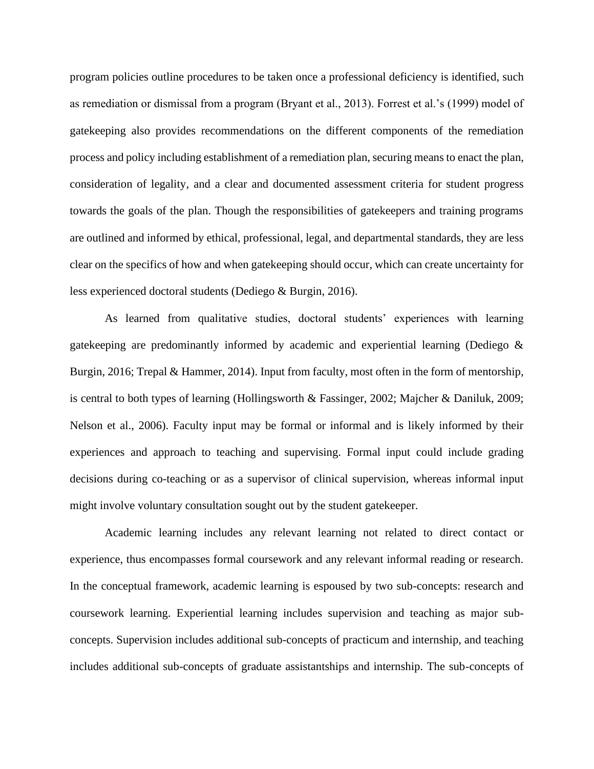program policies outline procedures to be taken once a professional deficiency is identified, such as remediation or dismissal from a program (Bryant et al., 2013). Forrest et al.'s (1999) model of gatekeeping also provides recommendations on the different components of the remediation process and policy including establishment of a remediation plan, securing means to enact the plan, consideration of legality, and a clear and documented assessment criteria for student progress towards the goals of the plan. Though the responsibilities of gatekeepers and training programs are outlined and informed by ethical, professional, legal, and departmental standards, they are less clear on the specifics of how and when gatekeeping should occur, which can create uncertainty for less experienced doctoral students (Dediego & Burgin, 2016).

As learned from qualitative studies, doctoral students' experiences with learning gatekeeping are predominantly informed by academic and experiential learning (Dediego & Burgin, 2016; Trepal & Hammer, 2014). Input from faculty, most often in the form of mentorship, is central to both types of learning (Hollingsworth & Fassinger, 2002; Majcher & Daniluk, 2009; Nelson et al., 2006). Faculty input may be formal or informal and is likely informed by their experiences and approach to teaching and supervising. Formal input could include grading decisions during co-teaching or as a supervisor of clinical supervision, whereas informal input might involve voluntary consultation sought out by the student gatekeeper.

Academic learning includes any relevant learning not related to direct contact or experience, thus encompasses formal coursework and any relevant informal reading or research. In the conceptual framework, academic learning is espoused by two sub-concepts: research and coursework learning. Experiential learning includes supervision and teaching as major subconcepts. Supervision includes additional sub-concepts of practicum and internship, and teaching includes additional sub-concepts of graduate assistantships and internship. The sub-concepts of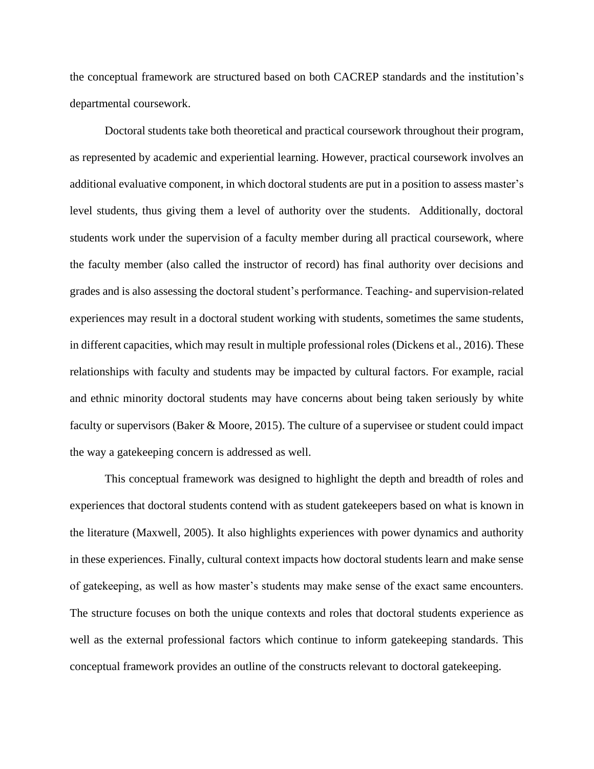the conceptual framework are structured based on both CACREP standards and the institution's departmental coursework.

Doctoral students take both theoretical and practical coursework throughout their program, as represented by academic and experiential learning. However, practical coursework involves an additional evaluative component, in which doctoral students are put in a position to assess master's level students, thus giving them a level of authority over the students. Additionally, doctoral students work under the supervision of a faculty member during all practical coursework, where the faculty member (also called the instructor of record) has final authority over decisions and grades and is also assessing the doctoral student's performance. Teaching- and supervision-related experiences may result in a doctoral student working with students, sometimes the same students, in different capacities, which may result in multiple professional roles (Dickens et al., 2016). These relationships with faculty and students may be impacted by cultural factors. For example, racial and ethnic minority doctoral students may have concerns about being taken seriously by white faculty or supervisors (Baker & Moore, 2015). The culture of a supervisee or student could impact the way a gatekeeping concern is addressed as well.

This conceptual framework was designed to highlight the depth and breadth of roles and experiences that doctoral students contend with as student gatekeepers based on what is known in the literature (Maxwell, 2005). It also highlights experiences with power dynamics and authority in these experiences. Finally, cultural context impacts how doctoral students learn and make sense of gatekeeping, as well as how master's students may make sense of the exact same encounters. The structure focuses on both the unique contexts and roles that doctoral students experience as well as the external professional factors which continue to inform gatekeeping standards. This conceptual framework provides an outline of the constructs relevant to doctoral gatekeeping.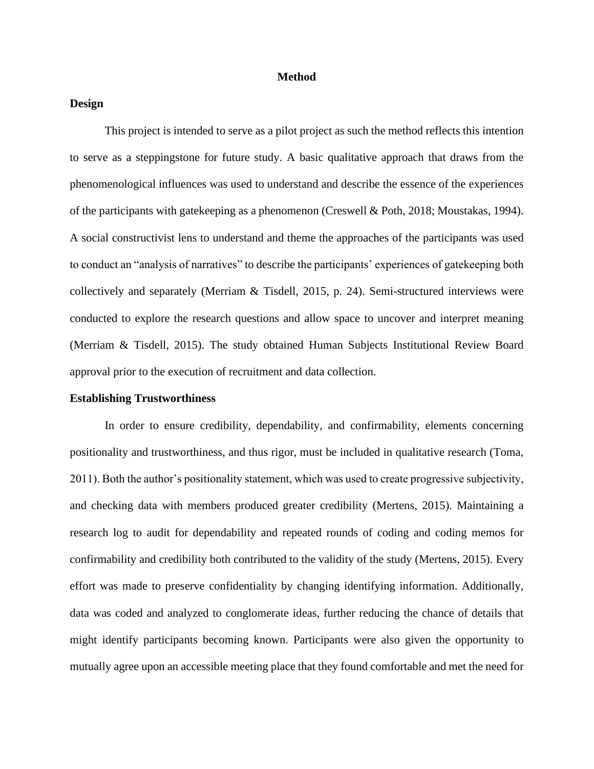#### **Method**

#### **Design**

This project is intended to serve as a pilot project as such the method reflects this intention to serve as a steppingstone for future study. A basic qualitative approach that draws from the phenomenological influences was used to understand and describe the essence of the experiences of the participants with gatekeeping as a phenomenon (Creswell & Poth, 2018; Moustakas, 1994). A social constructivist lens to understand and theme the approaches of the participants was used to conduct an "analysis of narratives" to describe the participants' experiences of gatekeeping both collectively and separately (Merriam & Tisdell, 2015, p. 24). Semi-structured interviews were conducted to explore the research questions and allow space to uncover and interpret meaning (Merriam & Tisdell, 2015). The study obtained Human Subjects Institutional Review Board approval prior to the execution of recruitment and data collection.

#### **Establishing Trustworthiness**

In order to ensure credibility, dependability, and confirmability, elements concerning positionality and trustworthiness, and thus rigor, must be included in qualitative research (Toma, 2011). Both the author's positionality statement, which was used to create progressive subjectivity, and checking data with members produced greater credibility (Mertens, 2015). Maintaining a research log to audit for dependability and repeated rounds of coding and coding memos for confirmability and credibility both contributed to the validity of the study (Mertens, 2015). Every effort was made to preserve confidentiality by changing identifying information. Additionally, data was coded and analyzed to conglomerate ideas, further reducing the chance of details that might identify participants becoming known. Participants were also given the opportunity to mutually agree upon an accessible meeting place that they found comfortable and met the need for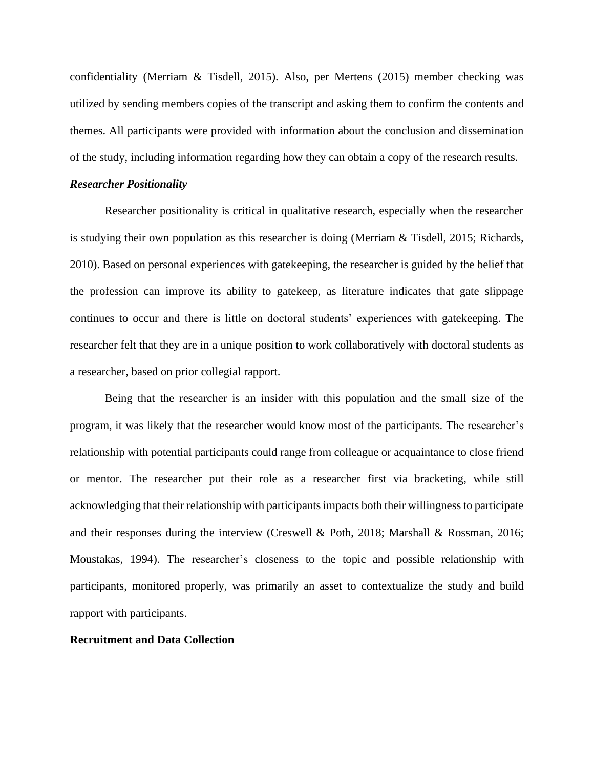confidentiality (Merriam & Tisdell, 2015). Also, per Mertens (2015) member checking was utilized by sending members copies of the transcript and asking them to confirm the contents and themes. All participants were provided with information about the conclusion and dissemination of the study, including information regarding how they can obtain a copy of the research results.

#### *Researcher Positionality*

Researcher positionality is critical in qualitative research, especially when the researcher is studying their own population as this researcher is doing (Merriam & Tisdell, 2015; Richards, 2010). Based on personal experiences with gatekeeping, the researcher is guided by the belief that the profession can improve its ability to gatekeep, as literature indicates that gate slippage continues to occur and there is little on doctoral students' experiences with gatekeeping. The researcher felt that they are in a unique position to work collaboratively with doctoral students as a researcher, based on prior collegial rapport.

Being that the researcher is an insider with this population and the small size of the program, it was likely that the researcher would know most of the participants. The researcher's relationship with potential participants could range from colleague or acquaintance to close friend or mentor. The researcher put their role as a researcher first via bracketing, while still acknowledging that their relationship with participants impacts both their willingness to participate and their responses during the interview (Creswell & Poth, 2018; Marshall & Rossman, 2016; Moustakas, 1994). The researcher's closeness to the topic and possible relationship with participants, monitored properly, was primarily an asset to contextualize the study and build rapport with participants.

#### **Recruitment and Data Collection**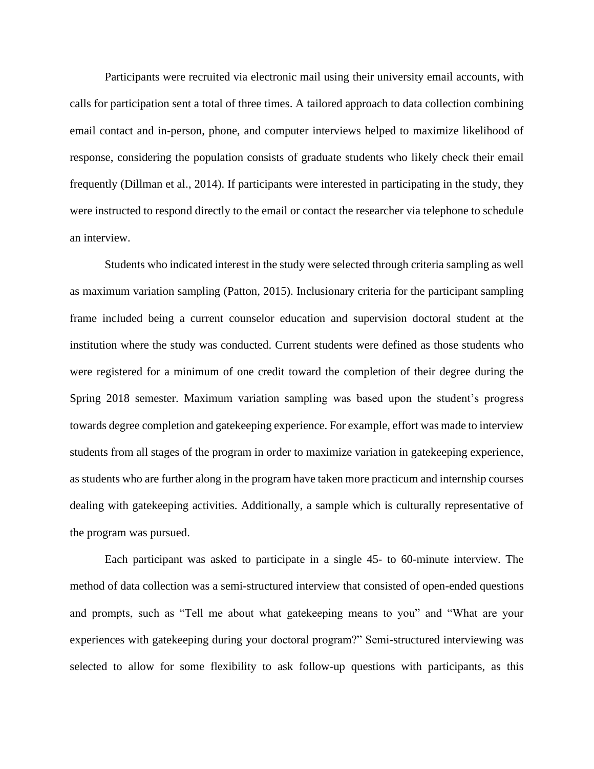Participants were recruited via electronic mail using their university email accounts, with calls for participation sent a total of three times. A tailored approach to data collection combining email contact and in-person, phone, and computer interviews helped to maximize likelihood of response, considering the population consists of graduate students who likely check their email frequently (Dillman et al., 2014). If participants were interested in participating in the study, they were instructed to respond directly to the email or contact the researcher via telephone to schedule an interview.

Students who indicated interest in the study were selected through criteria sampling as well as maximum variation sampling (Patton, 2015). Inclusionary criteria for the participant sampling frame included being a current counselor education and supervision doctoral student at the institution where the study was conducted. Current students were defined as those students who were registered for a minimum of one credit toward the completion of their degree during the Spring 2018 semester. Maximum variation sampling was based upon the student's progress towards degree completion and gatekeeping experience. For example, effort was made to interview students from all stages of the program in order to maximize variation in gatekeeping experience, as students who are further along in the program have taken more practicum and internship courses dealing with gatekeeping activities. Additionally, a sample which is culturally representative of the program was pursued.

Each participant was asked to participate in a single 45- to 60-minute interview. The method of data collection was a semi-structured interview that consisted of open-ended questions and prompts, such as "Tell me about what gatekeeping means to you" and "What are your experiences with gatekeeping during your doctoral program?" Semi-structured interviewing was selected to allow for some flexibility to ask follow-up questions with participants, as this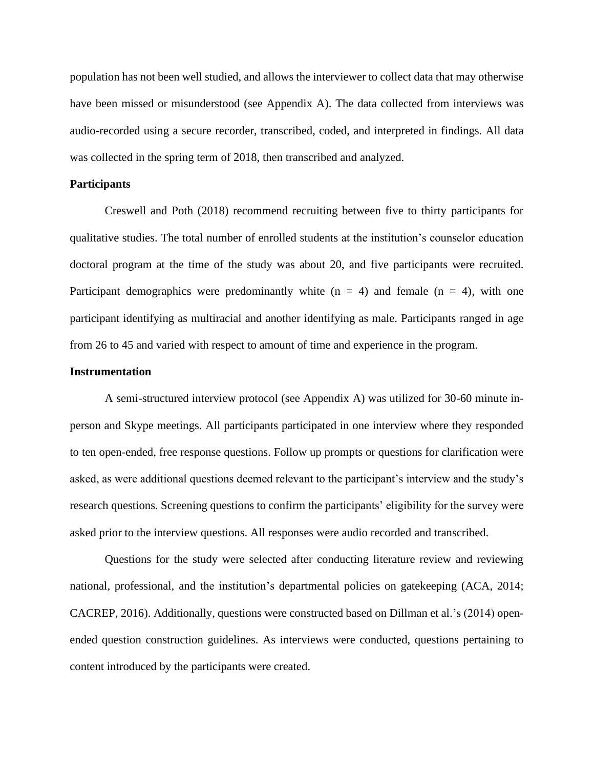population has not been well studied, and allows the interviewer to collect data that may otherwise have been missed or misunderstood (see Appendix A). The data collected from interviews was audio-recorded using a secure recorder, transcribed, coded, and interpreted in findings. All data was collected in the spring term of 2018, then transcribed and analyzed.

#### **Participants**

Creswell and Poth (2018) recommend recruiting between five to thirty participants for qualitative studies. The total number of enrolled students at the institution's counselor education doctoral program at the time of the study was about 20, and five participants were recruited. Participant demographics were predominantly white  $(n = 4)$  and female  $(n = 4)$ , with one participant identifying as multiracial and another identifying as male. Participants ranged in age from 26 to 45 and varied with respect to amount of time and experience in the program.

#### **Instrumentation**

A semi-structured interview protocol (see Appendix A) was utilized for 30-60 minute inperson and Skype meetings. All participants participated in one interview where they responded to ten open-ended, free response questions. Follow up prompts or questions for clarification were asked, as were additional questions deemed relevant to the participant's interview and the study's research questions. Screening questions to confirm the participants' eligibility for the survey were asked prior to the interview questions. All responses were audio recorded and transcribed.

Questions for the study were selected after conducting literature review and reviewing national, professional, and the institution's departmental policies on gatekeeping (ACA, 2014; CACREP, 2016). Additionally, questions were constructed based on Dillman et al.'s (2014) openended question construction guidelines. As interviews were conducted, questions pertaining to content introduced by the participants were created.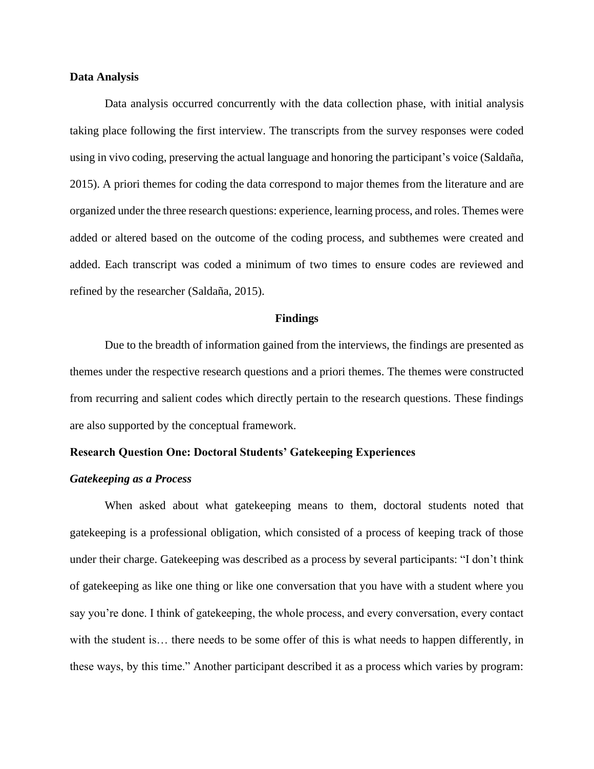#### **Data Analysis**

Data analysis occurred concurrently with the data collection phase, with initial analysis taking place following the first interview. The transcripts from the survey responses were coded using in vivo coding, preserving the actual language and honoring the participant's voice (Saldaña, 2015). A priori themes for coding the data correspond to major themes from the literature and are organized under the three research questions: experience, learning process, and roles. Themes were added or altered based on the outcome of the coding process, and subthemes were created and added. Each transcript was coded a minimum of two times to ensure codes are reviewed and refined by the researcher (Saldaña, 2015).

#### **Findings**

Due to the breadth of information gained from the interviews, the findings are presented as themes under the respective research questions and a priori themes. The themes were constructed from recurring and salient codes which directly pertain to the research questions. These findings are also supported by the conceptual framework.

#### **Research Question One: Doctoral Students' Gatekeeping Experiences**

#### *Gatekeeping as a Process*

When asked about what gatekeeping means to them, doctoral students noted that gatekeeping is a professional obligation, which consisted of a process of keeping track of those under their charge. Gatekeeping was described as a process by several participants: "I don't think of gatekeeping as like one thing or like one conversation that you have with a student where you say you're done. I think of gatekeeping, the whole process, and every conversation, every contact with the student is... there needs to be some offer of this is what needs to happen differently, in these ways, by this time." Another participant described it as a process which varies by program: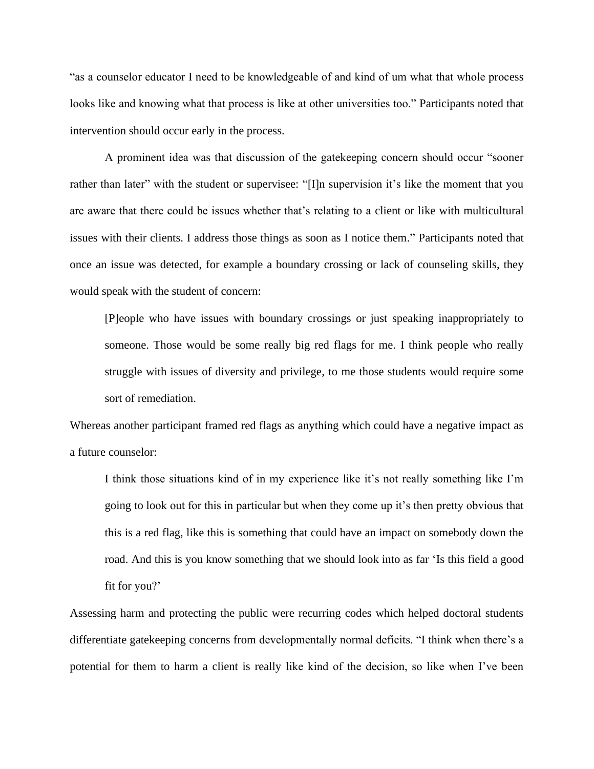"as a counselor educator I need to be knowledgeable of and kind of um what that whole process looks like and knowing what that process is like at other universities too." Participants noted that intervention should occur early in the process.

A prominent idea was that discussion of the gatekeeping concern should occur "sooner rather than later" with the student or supervisee: "[I]n supervision it's like the moment that you are aware that there could be issues whether that's relating to a client or like with multicultural issues with their clients. I address those things as soon as I notice them." Participants noted that once an issue was detected, for example a boundary crossing or lack of counseling skills, they would speak with the student of concern:

[P]eople who have issues with boundary crossings or just speaking inappropriately to someone. Those would be some really big red flags for me. I think people who really struggle with issues of diversity and privilege, to me those students would require some sort of remediation.

Whereas another participant framed red flags as anything which could have a negative impact as a future counselor:

I think those situations kind of in my experience like it's not really something like I'm going to look out for this in particular but when they come up it's then pretty obvious that this is a red flag, like this is something that could have an impact on somebody down the road. And this is you know something that we should look into as far 'Is this field a good fit for you?'

Assessing harm and protecting the public were recurring codes which helped doctoral students differentiate gatekeeping concerns from developmentally normal deficits. "I think when there's a potential for them to harm a client is really like kind of the decision, so like when I've been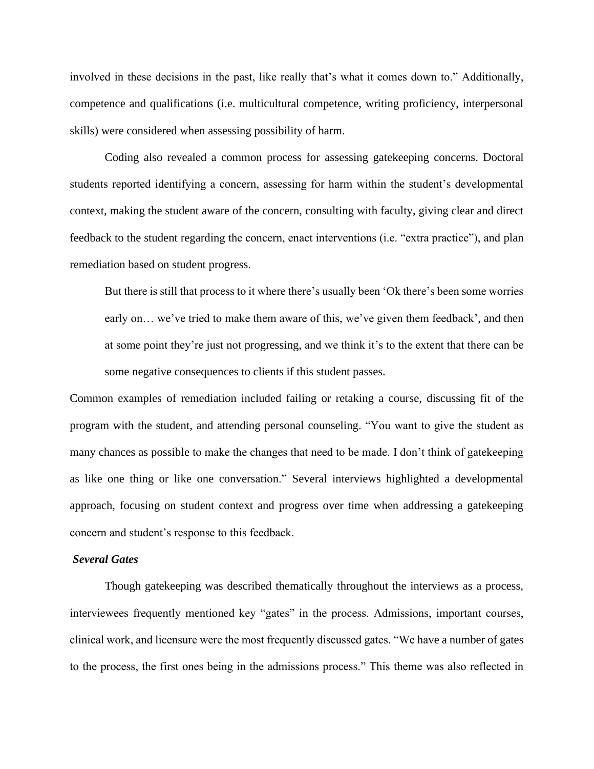involved in these decisions in the past, like really that's what it comes down to." Additionally, competence and qualifications (i.e. multicultural competence, writing proficiency, interpersonal skills) were considered when assessing possibility of harm.

Coding also revealed a common process for assessing gatekeeping concerns. Doctoral students reported identifying a concern, assessing for harm within the student's developmental context, making the student aware of the concern, consulting with faculty, giving clear and direct feedback to the student regarding the concern, enact interventions (i.e. "extra practice"), and plan remediation based on student progress.

But there is still that process to it where there's usually been 'Ok there's been some worries early on… we've tried to make them aware of this, we've given them feedback', and then at some point they're just not progressing, and we think it's to the extent that there can be some negative consequences to clients if this student passes.

Common examples of remediation included failing or retaking a course, discussing fit of the program with the student, and attending personal counseling. "You want to give the student as many chances as possible to make the changes that need to be made. I don't think of gatekeeping as like one thing or like one conversation." Several interviews highlighted a developmental approach, focusing on student context and progress over time when addressing a gatekeeping concern and student's response to this feedback.

#### *Several Gates*

Though gatekeeping was described thematically throughout the interviews as a process, interviewees frequently mentioned key "gates" in the process. Admissions, important courses, clinical work, and licensure were the most frequently discussed gates. "We have a number of gates to the process, the first ones being in the admissions process." This theme was also reflected in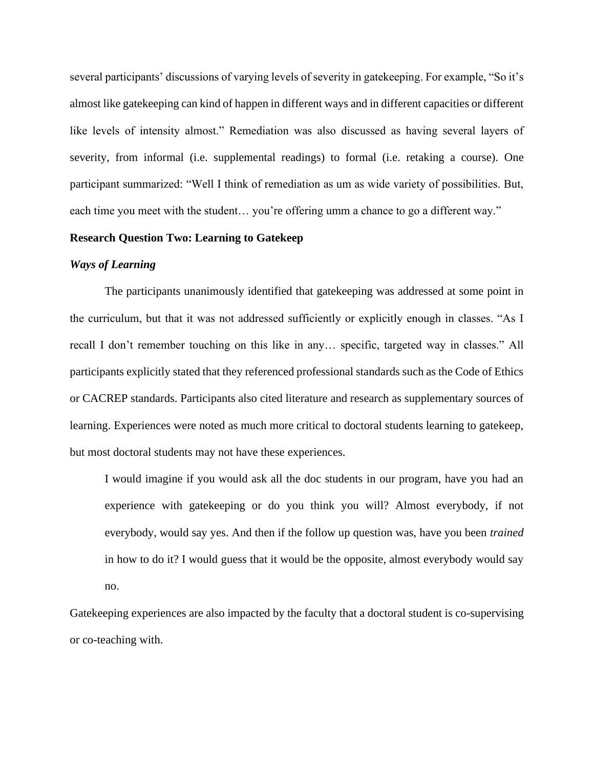several participants' discussions of varying levels of severity in gatekeeping. For example, "So it's almost like gatekeeping can kind of happen in different ways and in different capacities or different like levels of intensity almost." Remediation was also discussed as having several layers of severity, from informal (i.e. supplemental readings) to formal (i.e. retaking a course). One participant summarized: "Well I think of remediation as um as wide variety of possibilities. But, each time you meet with the student... you're offering umm a chance to go a different way."

#### **Research Question Two: Learning to Gatekeep**

#### *Ways of Learning*

The participants unanimously identified that gatekeeping was addressed at some point in the curriculum, but that it was not addressed sufficiently or explicitly enough in classes. "As I recall I don't remember touching on this like in any… specific, targeted way in classes." All participants explicitly stated that they referenced professional standards such as the Code of Ethics or CACREP standards. Participants also cited literature and research as supplementary sources of learning. Experiences were noted as much more critical to doctoral students learning to gatekeep, but most doctoral students may not have these experiences.

I would imagine if you would ask all the doc students in our program, have you had an experience with gatekeeping or do you think you will? Almost everybody, if not everybody, would say yes. And then if the follow up question was, have you been *trained* in how to do it? I would guess that it would be the opposite, almost everybody would say no.

Gatekeeping experiences are also impacted by the faculty that a doctoral student is co-supervising or co-teaching with.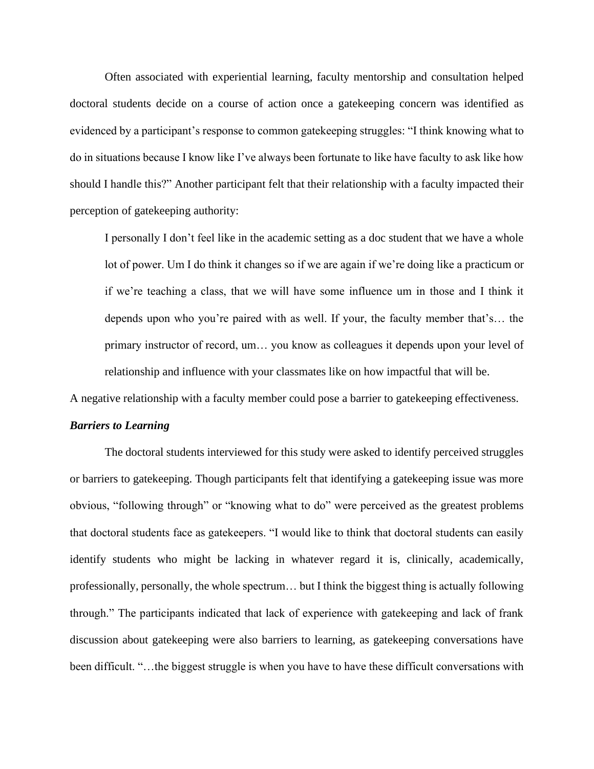Often associated with experiential learning, faculty mentorship and consultation helped doctoral students decide on a course of action once a gatekeeping concern was identified as evidenced by a participant's response to common gatekeeping struggles: "I think knowing what to do in situations because I know like I've always been fortunate to like have faculty to ask like how should I handle this?" Another participant felt that their relationship with a faculty impacted their perception of gatekeeping authority:

I personally I don't feel like in the academic setting as a doc student that we have a whole lot of power. Um I do think it changes so if we are again if we're doing like a practicum or if we're teaching a class, that we will have some influence um in those and I think it depends upon who you're paired with as well. If your, the faculty member that's… the primary instructor of record, um… you know as colleagues it depends upon your level of relationship and influence with your classmates like on how impactful that will be.

A negative relationship with a faculty member could pose a barrier to gatekeeping effectiveness.

#### *Barriers to Learning*

The doctoral students interviewed for this study were asked to identify perceived struggles or barriers to gatekeeping. Though participants felt that identifying a gatekeeping issue was more obvious, "following through" or "knowing what to do" were perceived as the greatest problems that doctoral students face as gatekeepers. "I would like to think that doctoral students can easily identify students who might be lacking in whatever regard it is, clinically, academically, professionally, personally, the whole spectrum… but I think the biggest thing is actually following through." The participants indicated that lack of experience with gatekeeping and lack of frank discussion about gatekeeping were also barriers to learning, as gatekeeping conversations have been difficult. "…the biggest struggle is when you have to have these difficult conversations with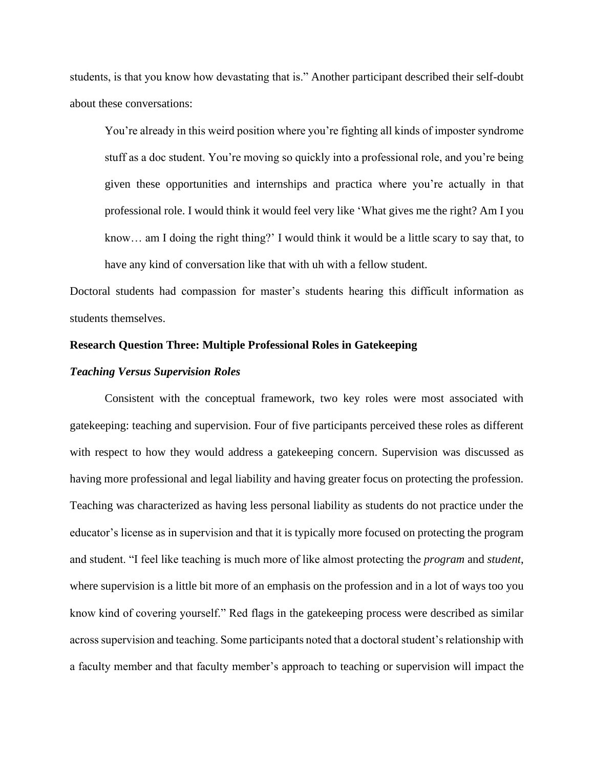students, is that you know how devastating that is." Another participant described their self-doubt about these conversations:

You're already in this weird position where you're fighting all kinds of imposter syndrome stuff as a doc student. You're moving so quickly into a professional role, and you're being given these opportunities and internships and practica where you're actually in that professional role. I would think it would feel very like 'What gives me the right? Am I you know… am I doing the right thing?' I would think it would be a little scary to say that, to have any kind of conversation like that with uh with a fellow student.

Doctoral students had compassion for master's students hearing this difficult information as students themselves.

#### **Research Question Three: Multiple Professional Roles in Gatekeeping**

#### *Teaching Versus Supervision Roles*

Consistent with the conceptual framework, two key roles were most associated with gatekeeping: teaching and supervision. Four of five participants perceived these roles as different with respect to how they would address a gatekeeping concern. Supervision was discussed as having more professional and legal liability and having greater focus on protecting the profession. Teaching was characterized as having less personal liability as students do not practice under the educator's license as in supervision and that it is typically more focused on protecting the program and student. "I feel like teaching is much more of like almost protecting the *program* and *student*, where supervision is a little bit more of an emphasis on the profession and in a lot of ways too you know kind of covering yourself." Red flags in the gatekeeping process were described as similar across supervision and teaching. Some participants noted that a doctoral student's relationship with a faculty member and that faculty member's approach to teaching or supervision will impact the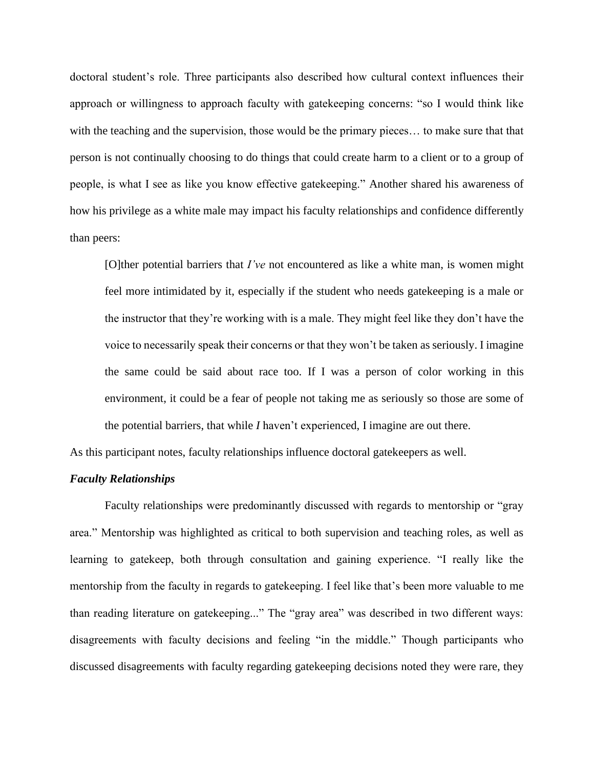doctoral student's role. Three participants also described how cultural context influences their approach or willingness to approach faculty with gatekeeping concerns: "so I would think like with the teaching and the supervision, those would be the primary pieces... to make sure that that person is not continually choosing to do things that could create harm to a client or to a group of people, is what I see as like you know effective gatekeeping." Another shared his awareness of how his privilege as a white male may impact his faculty relationships and confidence differently than peers:

[O]ther potential barriers that *I've* not encountered as like a white man, is women might feel more intimidated by it, especially if the student who needs gatekeeping is a male or the instructor that they're working with is a male. They might feel like they don't have the voice to necessarily speak their concerns or that they won't be taken as seriously. I imagine the same could be said about race too. If I was a person of color working in this environment, it could be a fear of people not taking me as seriously so those are some of the potential barriers, that while *I* haven't experienced, I imagine are out there.

As this participant notes, faculty relationships influence doctoral gatekeepers as well.

#### *Faculty Relationships*

Faculty relationships were predominantly discussed with regards to mentorship or "gray area." Mentorship was highlighted as critical to both supervision and teaching roles, as well as learning to gatekeep, both through consultation and gaining experience. "I really like the mentorship from the faculty in regards to gatekeeping. I feel like that's been more valuable to me than reading literature on gatekeeping..." The "gray area" was described in two different ways: disagreements with faculty decisions and feeling "in the middle." Though participants who discussed disagreements with faculty regarding gatekeeping decisions noted they were rare, they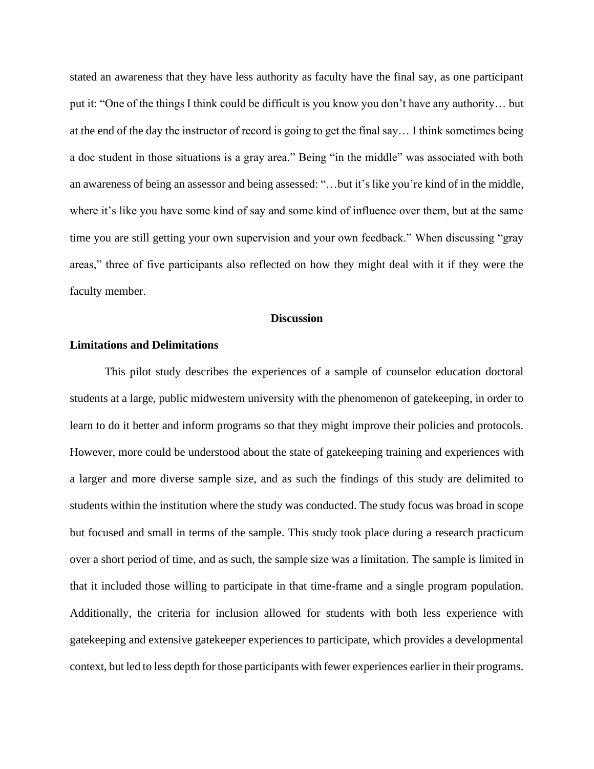stated an awareness that they have less authority as faculty have the final say, as one participant put it: "One of the things I think could be difficult is you know you don't have any authority… but at the end of the day the instructor of record is going to get the final say… I think sometimes being a doc student in those situations is a gray area." Being "in the middle" was associated with both an awareness of being an assessor and being assessed: "…but it's like you're kind of in the middle, where it's like you have some kind of say and some kind of influence over them, but at the same time you are still getting your own supervision and your own feedback." When discussing "gray areas," three of five participants also reflected on how they might deal with it if they were the faculty member.

#### **Discussion**

#### **Limitations and Delimitations**

This pilot study describes the experiences of a sample of counselor education doctoral students at a large, public midwestern university with the phenomenon of gatekeeping, in order to learn to do it better and inform programs so that they might improve their policies and protocols. However, more could be understood about the state of gatekeeping training and experiences with a larger and more diverse sample size, and as such the findings of this study are delimited to students within the institution where the study was conducted. The study focus was broad in scope but focused and small in terms of the sample. This study took place during a research practicum over a short period of time, and as such, the sample size was a limitation. The sample is limited in that it included those willing to participate in that time-frame and a single program population. Additionally, the criteria for inclusion allowed for students with both less experience with gatekeeping and extensive gatekeeper experiences to participate, which provides a developmental context, but led to less depth for those participants with fewer experiences earlier in their programs.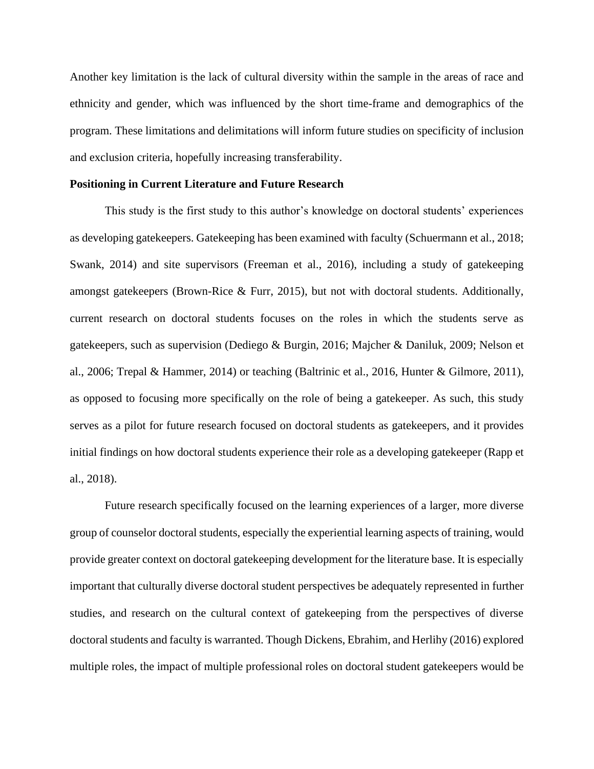Another key limitation is the lack of cultural diversity within the sample in the areas of race and ethnicity and gender, which was influenced by the short time-frame and demographics of the program. These limitations and delimitations will inform future studies on specificity of inclusion and exclusion criteria, hopefully increasing transferability.

#### **Positioning in Current Literature and Future Research**

This study is the first study to this author's knowledge on doctoral students' experiences as developing gatekeepers. Gatekeeping has been examined with faculty (Schuermann et al., 2018; Swank, 2014) and site supervisors (Freeman et al., 2016), including a study of gatekeeping amongst gatekeepers (Brown-Rice & Furr, 2015), but not with doctoral students. Additionally, current research on doctoral students focuses on the roles in which the students serve as gatekeepers, such as supervision (Dediego & Burgin, 2016; Majcher & Daniluk, 2009; Nelson et al., 2006; Trepal & Hammer, 2014) or teaching (Baltrinic et al., 2016, Hunter & Gilmore, 2011), as opposed to focusing more specifically on the role of being a gatekeeper. As such, this study serves as a pilot for future research focused on doctoral students as gatekeepers, and it provides initial findings on how doctoral students experience their role as a developing gatekeeper (Rapp et al., 2018).

Future research specifically focused on the learning experiences of a larger, more diverse group of counselor doctoral students, especially the experiential learning aspects of training, would provide greater context on doctoral gatekeeping development for the literature base. It is especially important that culturally diverse doctoral student perspectives be adequately represented in further studies, and research on the cultural context of gatekeeping from the perspectives of diverse doctoral students and faculty is warranted. Though Dickens, Ebrahim, and Herlihy (2016) explored multiple roles, the impact of multiple professional roles on doctoral student gatekeepers would be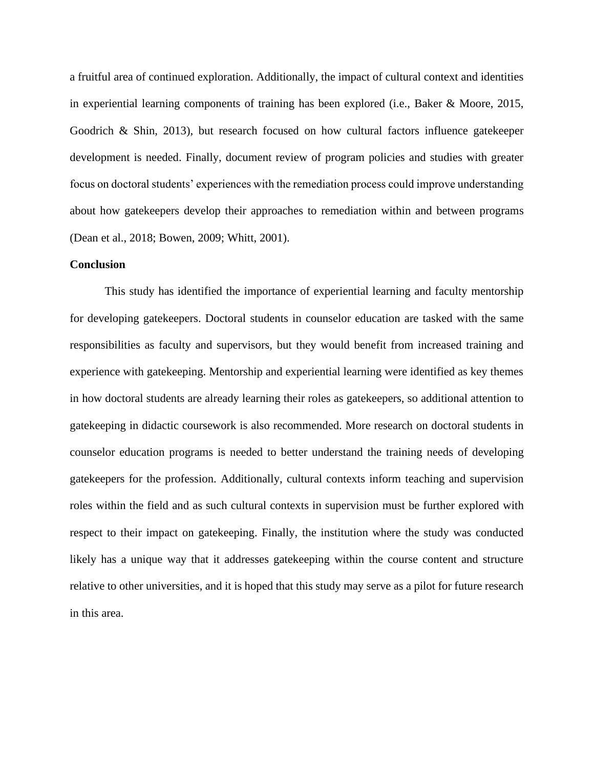a fruitful area of continued exploration. Additionally, the impact of cultural context and identities in experiential learning components of training has been explored (i.e., Baker & Moore, 2015, Goodrich & Shin, 2013), but research focused on how cultural factors influence gatekeeper development is needed. Finally, document review of program policies and studies with greater focus on doctoral students' experiences with the remediation process could improve understanding about how gatekeepers develop their approaches to remediation within and between programs (Dean et al., 2018; Bowen, 2009; Whitt, 2001).

#### **Conclusion**

This study has identified the importance of experiential learning and faculty mentorship for developing gatekeepers. Doctoral students in counselor education are tasked with the same responsibilities as faculty and supervisors, but they would benefit from increased training and experience with gatekeeping. Mentorship and experiential learning were identified as key themes in how doctoral students are already learning their roles as gatekeepers, so additional attention to gatekeeping in didactic coursework is also recommended. More research on doctoral students in counselor education programs is needed to better understand the training needs of developing gatekeepers for the profession. Additionally, cultural contexts inform teaching and supervision roles within the field and as such cultural contexts in supervision must be further explored with respect to their impact on gatekeeping. Finally, the institution where the study was conducted likely has a unique way that it addresses gatekeeping within the course content and structure relative to other universities, and it is hoped that this study may serve as a pilot for future research in this area.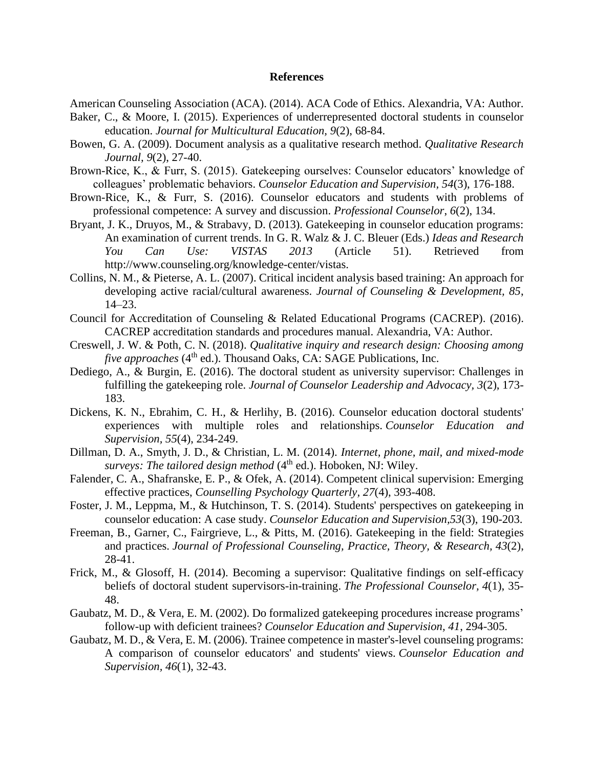#### **References**

American Counseling Association (ACA). (2014). ACA Code of Ethics. Alexandria, VA: Author. Baker, C., & Moore, I. (2015). Experiences of underrepresented doctoral students in counselor education. *Journal for Multicultural Education, 9*(2), 68-84.

- Bowen, G. A. (2009). Document analysis as a qualitative research method. *Qualitative Research Journal, 9*(2), 27-40.
- Brown-Rice, K., & Furr, S. (2015). Gatekeeping ourselves: Counselor educators' knowledge of colleagues' problematic behaviors. *Counselor Education and Supervision, 54*(3), 176-188.
- Brown-Rice, K., & Furr, S. (2016). Counselor educators and students with problems of professional competence: A survey and discussion. *Professional Counselor*, *6*(2), 134.
- Bryant, J. K., Druyos, M., & Strabavy, D. (2013). Gatekeeping in counselor education programs: An examination of current trends. In G. R. Walz & J. C. Bleuer (Eds.) *Ideas and Research You Can Use: VISTAS 2013* (Article 51). Retrieved from http://www.counseling.org/knowledge-center/vistas.
- Collins, N. M., & Pieterse, A. L. (2007). Critical incident analysis based training: An approach for developing active racial/cultural awareness. *Journal of Counseling & Development, 85*, 14–23.
- Council for Accreditation of Counseling & Related Educational Programs (CACREP). (2016). CACREP accreditation standards and procedures manual. Alexandria, VA: Author.
- Creswell, J. W. & Poth, C. N. (2018). *Qualitative inquiry and research design: Choosing among*  five approaches (4<sup>th</sup> ed.). Thousand Oaks, CA: SAGE Publications, Inc.
- Dediego, A., & Burgin, E. (2016). The doctoral student as university supervisor: Challenges in fulfilling the gatekeeping role. *Journal of Counselor Leadership and Advocacy, 3*(2), 173- 183.
- Dickens, K. N., Ebrahim, C. H., & Herlihy, B. (2016). Counselor education doctoral students' experiences with multiple roles and relationships. *Counselor Education and Supervision, 55*(4), 234-249.
- Dillman, D. A., Smyth, J. D., & Christian, L. M. (2014). *Internet, phone, mail, and mixed-mode surveys: The tailored design method* (4<sup>th</sup> ed.). Hoboken, NJ: Wiley.
- Falender, C. A., Shafranske, E. P., & Ofek, A. (2014). Competent clinical supervision: Emerging effective practices, *Counselling Psychology Quarterly, 27*(4), 393-408.
- Foster, J. M., Leppma, M., & Hutchinson, T. S. (2014). Students' perspectives on gatekeeping in counselor education: A case study. *Counselor Education and Supervision,53*(3), 190-203.
- Freeman, B., Garner, C., Fairgrieve, L., & Pitts, M. (2016). Gatekeeping in the field: Strategies and practices. *Journal of Professional Counseling, Practice, Theory, & Research, 43*(2), 28-41.
- Frick, M., & Glosoff, H. (2014). Becoming a supervisor: Qualitative findings on self-efficacy beliefs of doctoral student supervisors-in-training. *The Professional Counselor, 4*(1), 35- 48.
- Gaubatz, M. D., & Vera, E. M. (2002). Do formalized gatekeeping procedures increase programs' follow-up with deficient trainees? *Counselor Education and Supervision, 41*, 294-305.
- Gaubatz, M. D., & Vera, E. M. (2006). Trainee competence in master's-level counseling programs: A comparison of counselor educators' and students' views. *Counselor Education and Supervision, 46*(1), 32-43.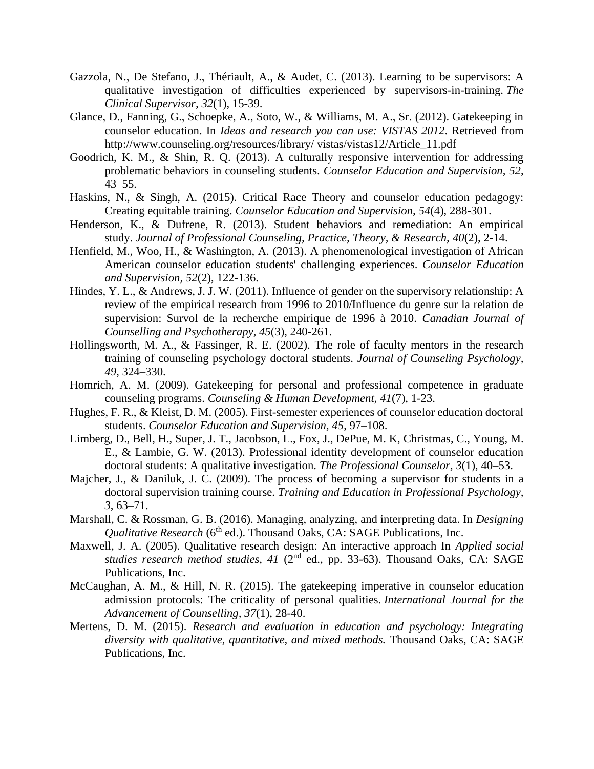- Gazzola, N., De Stefano, J., Thériault, A., & Audet, C. (2013). Learning to be supervisors: A qualitative investigation of difficulties experienced by supervisors-in-training. *The Clinical Supervisor, 32*(1), 15-39.
- Glance, D., Fanning, G., Schoepke, A., Soto, W., & Williams, M. A., Sr. (2012). Gatekeeping in counselor education. In *Ideas and research you can use: VISTAS 2012*. Retrieved from http://www.counseling.org/resources/library/ vistas/vistas12/Article\_11.pdf
- Goodrich, K. M., & Shin, R. Q. (2013). A culturally responsive intervention for addressing problematic behaviors in counseling students. *Counselor Education and Supervision, 52*, 43–55.
- Haskins, N., & Singh, A. (2015). Critical Race Theory and counselor education pedagogy: Creating equitable training. *Counselor Education and Supervision, 54*(4), 288-301.
- Henderson, K., & Dufrene, R. (2013). Student behaviors and remediation: An empirical study. *Journal of Professional Counseling, Practice, Theory, & Research, 40*(2), 2-14.
- Henfield, M., Woo, H., & Washington, A. (2013). A phenomenological investigation of African American counselor education students' challenging experiences. *Counselor Education and Supervision, 52*(2), 122-136.
- Hindes, Y. L., & Andrews, J. J. W. (2011). Influence of gender on the supervisory relationship: A review of the empirical research from 1996 to 2010/Influence du genre sur la relation de supervision: Survol de la recherche empirique de 1996 à 2010. *Canadian Journal of Counselling and Psychotherapy, 45*(3), 240-261.
- Hollingsworth, M. A., & Fassinger, R. E. (2002). The role of faculty mentors in the research training of counseling psychology doctoral students. *Journal of Counseling Psychology, 49*, 324–330.
- Homrich, A. M. (2009). Gatekeeping for personal and professional competence in graduate counseling programs. *Counseling & Human Development, 41*(7), 1-23.
- Hughes, F. R., & Kleist, D. M. (2005). First-semester experiences of counselor education doctoral students. *Counselor Education and Supervision, 45*, 97–108.
- Limberg, D., Bell, H., Super, J. T., Jacobson, L., Fox, J., DePue, M. K, Christmas, C., Young, M. E., & Lambie, G. W. (2013). Professional identity development of counselor education doctoral students: A qualitative investigation. *The Professional Counselor, 3*(1), 40–53.
- Majcher, J., & Daniluk, J. C. (2009). The process of becoming a supervisor for students in a doctoral supervision training course. *Training and Education in Professional Psychology, 3*, 63–71.
- Marshall, C. & Rossman, G. B. (2016). Managing, analyzing, and interpreting data. In *Designing Qualitative Research* (6<sup>th</sup> ed.). Thousand Oaks, CA: SAGE Publications, Inc.
- Maxwell, J. A. (2005). Qualitative research design: An interactive approach In *Applied social*  studies research method studies, 41 (2<sup>nd</sup> ed., pp. 33-63). Thousand Oaks, CA: SAGE Publications, Inc.
- McCaughan, A. M., & Hill, N. R. (2015). The gatekeeping imperative in counselor education admission protocols: The criticality of personal qualities. *International Journal for the Advancement of Counselling, 37*(1), 28-40.
- Mertens, D. M. (2015). *Research and evaluation in education and psychology: Integrating diversity with qualitative, quantitative, and mixed methods.* Thousand Oaks, CA: SAGE Publications, Inc.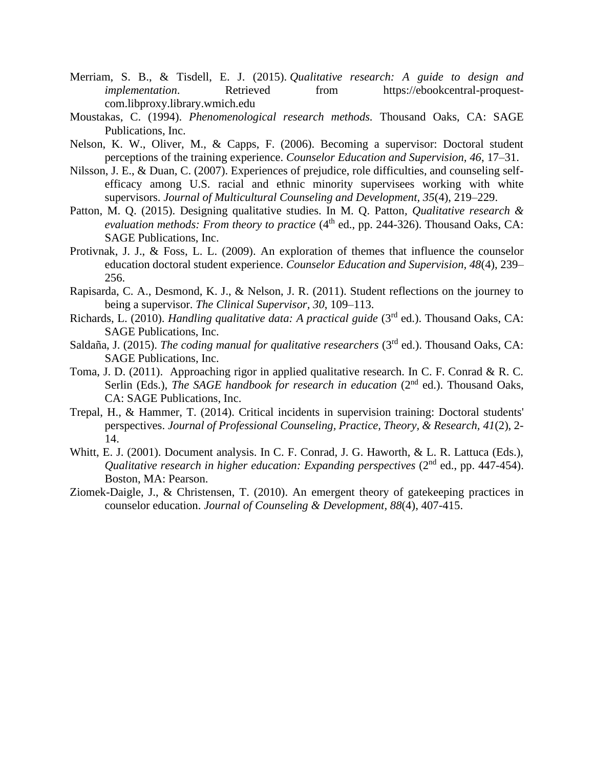- Merriam, S. B., & Tisdell, E. J. (2015). *Qualitative research: A guide to design and implementation*. Retrieved from https://ebookcentral-proquestcom.libproxy.library.wmich.edu
- Moustakas, C. (1994). *Phenomenological research methods.* Thousand Oaks, CA: SAGE Publications, Inc.
- Nelson, K. W., Oliver, M., & Capps, F. (2006). Becoming a supervisor: Doctoral student perceptions of the training experience. *Counselor Education and Supervision, 46*, 17–31.
- Nilsson, J. E., & Duan, C. (2007). Experiences of prejudice, role difficulties, and counseling selfefficacy among U.S. racial and ethnic minority supervisees working with white supervisors. *Journal of Multicultural Counseling and Development, 35*(4), 219–229.
- Patton, M. Q. (2015). Designing qualitative studies. In M. Q. Patton*, Qualitative research & evaluation methods: From theory to practice*  $(4<sup>th</sup>$  ed., pp. 244-326). Thousand Oaks, CA: SAGE Publications, Inc.
- Protivnak, J. J., & Foss, L. L. (2009). An exploration of themes that influence the counselor education doctoral student experience. *Counselor Education and Supervision, 48*(4), 239– 256.
- Rapisarda, C. A., Desmond, K. J., & Nelson, J. R. (2011). Student reflections on the journey to being a supervisor. *The Clinical Supervisor, 30*, 109–113.
- Richards, L. (2010). *Handling qualitative data: A practical guide* (3<sup>rd</sup> ed.). Thousand Oaks, CA: SAGE Publications, Inc.
- Saldaña, J. (2015). *The coding manual for qualitative researchers* (3rd ed.). Thousand Oaks, CA: SAGE Publications, Inc.
- Toma, J. D. (2011). Approaching rigor in applied qualitative research. In C. F. Conrad & R. C. Serlin (Eds.), *The SAGE handbook for research in education* (2<sup>nd</sup> ed.). Thousand Oaks, CA: SAGE Publications, Inc.
- Trepal, H., & Hammer, T. (2014). Critical incidents in supervision training: Doctoral students' perspectives. *Journal of Professional Counseling, Practice, Theory, & Research, 41*(2), 2- 14.
- Whitt, E. J. (2001). Document analysis. In C. F. Conrad, J. G. Haworth, & L. R. Lattuca (Eds.), *Qualitative research in higher education: Expanding perspectives (2<sup>nd</sup> ed., pp. 447-454).* Boston, MA: Pearson.
- Ziomek-Daigle, J., & Christensen, T. (2010). An emergent theory of gatekeeping practices in counselor education. *Journal of Counseling & Development, 88*(4), 407-415.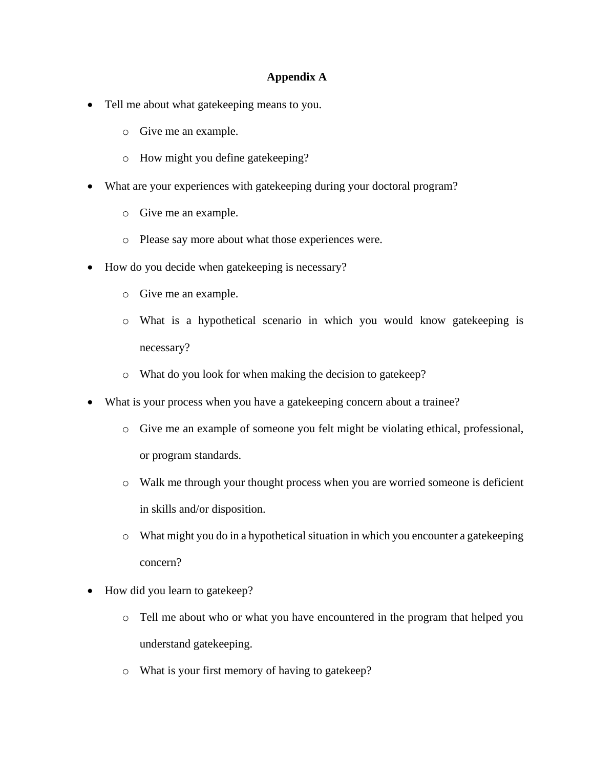## **Appendix A**

- Tell me about what gatekeeping means to you.
	- o Give me an example.
	- o How might you define gatekeeping?
- What are your experiences with gatekeeping during your doctoral program?
	- o Give me an example.
	- o Please say more about what those experiences were.
- How do you decide when gatekeeping is necessary?
	- o Give me an example.
	- o What is a hypothetical scenario in which you would know gatekeeping is necessary?
	- o What do you look for when making the decision to gatekeep?
- What is your process when you have a gatekeeping concern about a trainee?
	- o Give me an example of someone you felt might be violating ethical, professional, or program standards.
	- o Walk me through your thought process when you are worried someone is deficient in skills and/or disposition.
	- o What might you do in a hypothetical situation in which you encounter a gatekeeping concern?
- How did you learn to gatekeep?
	- o Tell me about who or what you have encountered in the program that helped you understand gatekeeping.
	- o What is your first memory of having to gatekeep?